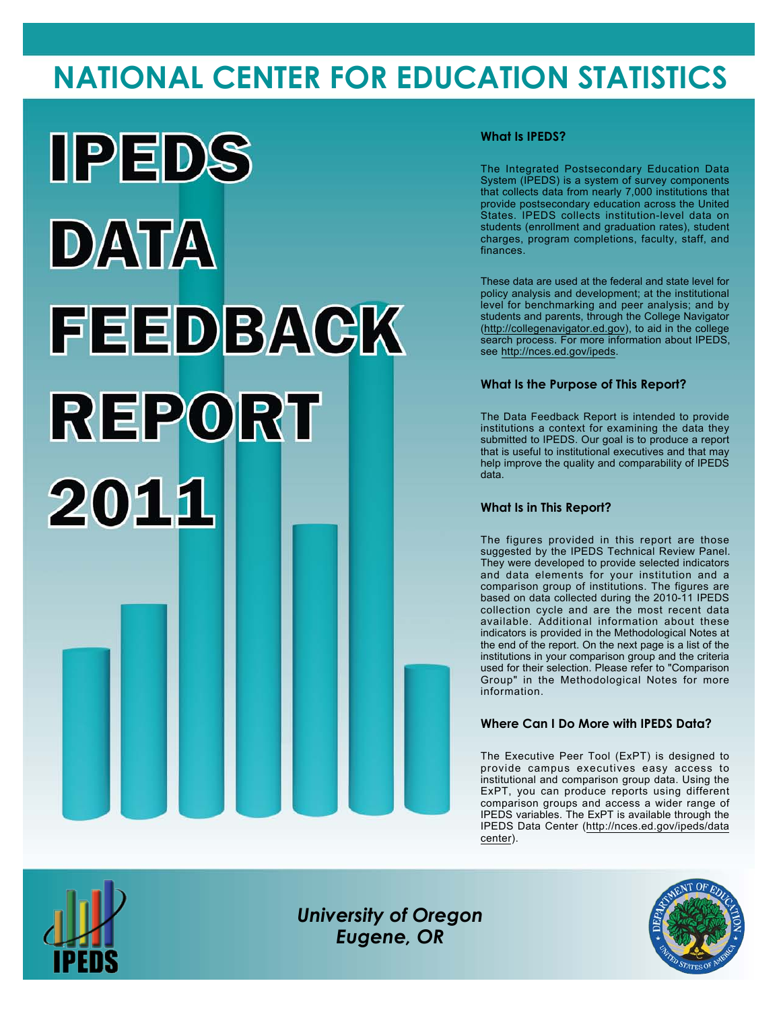# **NATIONAL CENTER FOR EDUCATION STATISTICS**



### **What Is IPEDS?**

The Integrated Postsecondary Education Data System (IPEDS) is a system of survey components that collects data from nearly 7,000 institutions that provide postsecondary education across the United States. IPEDS collects institution-level data on students (enrollment and graduation rates), student charges, program completions, faculty, staff, and finances.

These data are used at the federal and state level for policy analysis and development; at the institutional level for benchmarking and peer analysis; and by students and parents, through the College Navigator (<http://collegenavigator.ed.gov>), to aid in the college search process. For more information about IPEDS, see [http://nces.ed.gov/ipeds.](http://nces.ed.gov/ipeds)

### **What Is the Purpose of This Report?**

The Data Feedback Report is intended to provide institutions a context for examining the data they submitted to IPEDS. Our goal is to produce a report that is useful to institutional executives and that may help improve the quality and comparability of IPEDS data.

#### **What Is in This Report?**

The figures provided in this report are those suggested by the IPEDS Technical Review Panel. They were developed to provide selected indicators and data elements for your institution and a comparison group of institutions. The figures are based on data collected during the 2010-11 IPEDS collection cycle and are the most recent data available. Additional information about these indicators is provided in the Methodological Notes at the end of the report. On the next page is a list of the institutions in your comparison group and the criteria used for their selection. Please refer to "Comparison Group" in the Methodological Notes for more information.

### **Where Can I Do More with IPEDS Data?**

The Executive Peer Tool (ExPT) is designed to provide campus executives easy access to institutional and comparison group data. Using the ExPT, you can produce reports using different comparison groups and access a wider range of IPEDS variables. The ExPT is available through the IPEDS Data Center ([http://nces.ed.gov/ipeds/data](http://nces.ed.gov/ipeds/datacenter) [center](http://nces.ed.gov/ipeds/datacenter)).



Image description. Cover Image End of image description.

*University of Oregon Eugene, OR*

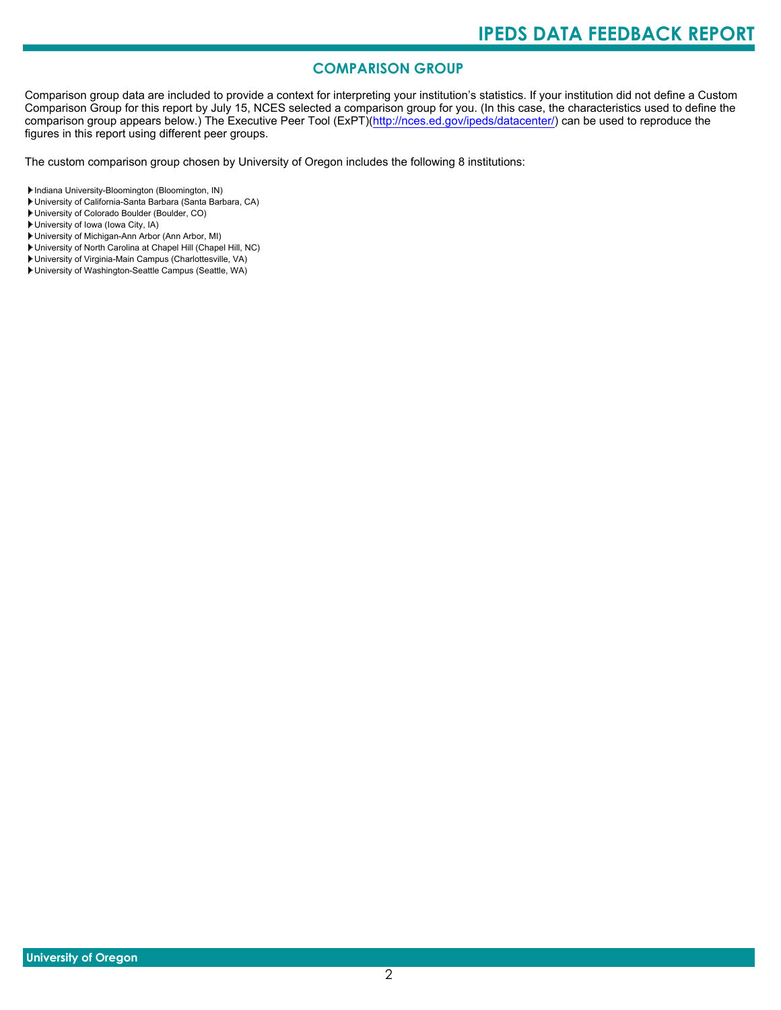## **COMPARISON GROUP**

Comparison group data are included to provide a context for interpreting your institution's statistics. If your institution did not define a Custom Comparison Group for this report by July 15, NCES selected a comparison group for you. (In this case, the characteristics used to define the comparison group appears below.) The Executive Peer Tool (ExPT)[\(http://nces.ed.gov/ipeds/datacenter/\)](http://nces.ed.gov/ipeds/datacenter/) can be used to reproduce the figures in this report using different peer groups.

The custom comparison group chosen by University of Oregon includes the following 8 institutions:

Indiana University-Bloomington (Bloomington, IN)

- University of California-Santa Barbara (Santa Barbara, CA)
- University of Colorado Boulder (Boulder, CO)

University of Iowa (Iowa City, IA)

- University of Michigan-Ann Arbor (Ann Arbor, MI)
- University of North Carolina at Chapel Hill (Chapel Hill, NC)
- University of Virginia-Main Campus (Charlottesville, VA)
- University of Washington-Seattle Campus (Seattle, WA)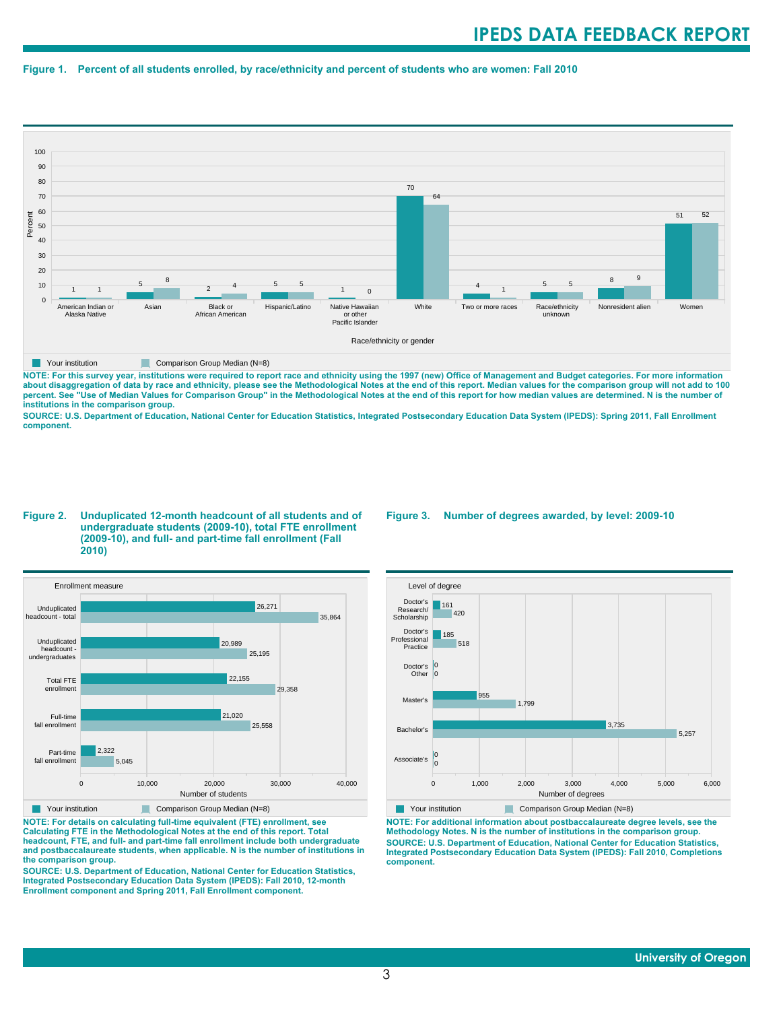#### **Figure 1. Percent of all students enrolled, by race/ethnicity and percent of students who are women: Fall 2010**



**NOTE: For this survey year, institutions were required to report race and ethnicity using the 1997 (new) Office of Management and Budget categories. For more information** about disaggregation of data by race and ethnicity, please see the Methodological Notes at the end of this report. Median values for the comparison group will not add to 100<br>percent. See "Use of Median Values for Compariso **institutions in the comparison group.**

**SOURCE: U.S. Department of Education, National Center for Education Statistics, Integrated Postsecondary Education Data System (IPEDS): Spring 2011, Fall Enrollment component.**

#### **Figure 2. Unduplicated 12-month headcount of all students and of undergraduate students (2009-10), total FTE enrollment (2009-10), and full- and part-time fall enrollment (Fall 2010)**



**NOTE: For details on calculating full-time equivalent (FTE) enrollment, see Calculating FTE in the Methodological Notes at the end of this report. Total headcount, FTE, and full- and part-time fall enrollment include both undergraduate and postbaccalaureate students, when applicable. N is the number of institutions in the comparison group.**

**SOURCE: U.S. Department of Education, National Center for Education Statistics, Integrated Postsecondary Education Data System (IPEDS): Fall 2010, 12-month Enrollment component and Spring 2011, Fall Enrollment component.**

#### **Figure 3. Number of degrees awarded, by level: 2009-10**



**NOTE: For additional information about postbaccalaureate degree levels, see the Methodology Notes. N is the number of institutions in the comparison group. SOURCE: U.S. Department of Education, National Center for Education Statistics, Integrated Postsecondary Education Data System (IPEDS): Fall 2010, Completions component.**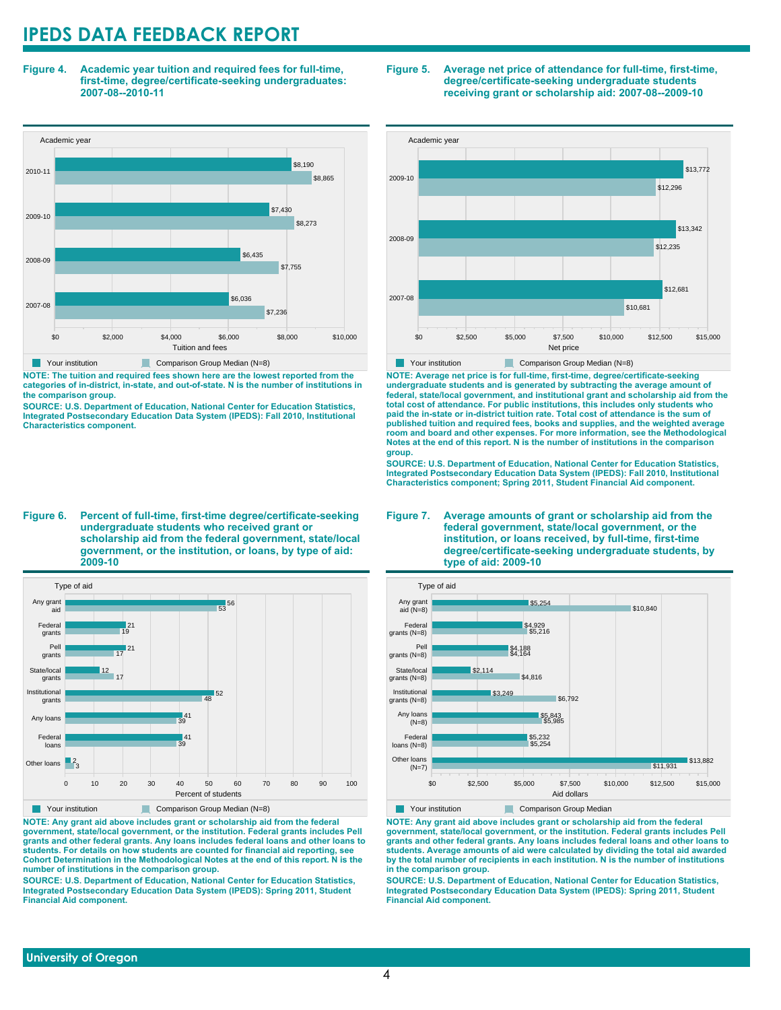**Figure 4. Academic year tuition and required fees for full-time, first-time, degree/certificate-seeking undergraduates: 2007-08--2010-11**



**NOTE: The tuition and required fees shown here are the lowest reported from the categories of in-district, in-state, and out-of-state. N is the number of institutions in the comparison group.**

**SOURCE: U.S. Department of Education, National Center for Education Statistics, Integrated Postsecondary Education Data System (IPEDS): Fall 2010, Institutional Characteristics component.**

**Figure 6. Percent of full-time, first-time degree/certificate-seeking undergraduate students who received grant or scholarship aid from the federal government, state/local government, or the institution, or loans, by type of aid: 2009-10**



**NOTE: Any grant aid above includes grant or scholarship aid from the federal government, state/local government, or the institution. Federal grants includes Pell grants and other federal grants. Any loans includes federal loans and other loans to students. For details on how students are counted for financial aid reporting, see Cohort Determination in the Methodological Notes at the end of this report. N is the number of institutions in the comparison group.**

**SOURCE: U.S. Department of Education, National Center for Education Statistics, Integrated Postsecondary Education Data System (IPEDS): Spring 2011, Student Financial Aid component.**





**NOTE: Average net price is for full-time, first-time, degree/certificate-seeking undergraduate students and is generated by subtracting the average amount of federal, state/local government, and institutional grant and scholarship aid from the total cost of attendance. For public institutions, this includes only students who paid the in-state or in-district tuition rate. Total cost of attendance is the sum of published tuition and required fees, books and supplies, and the weighted average room and board and other expenses. For more information, see the Methodological Notes at the end of this report. N is the number of institutions in the comparison group.**

**SOURCE: U.S. Department of Education, National Center for Education Statistics, Integrated Postsecondary Education Data System (IPEDS): Fall 2010, Institutional Characteristics component; Spring 2011, Student Financial Aid component.**





**Your institution Comparison Group Median** 

**NOTE: Any grant aid above includes grant or scholarship aid from the federal government, state/local government, or the institution. Federal grants includes Pell grants and other federal grants. Any loans includes federal loans and other loans to students. Average amounts of aid were calculated by dividing the total aid awarded by the total number of recipients in each institution. N is the number of institutions in the comparison group.**

**SOURCE: U.S. Department of Education, National Center for Education Statistics, Integrated Postsecondary Education Data System (IPEDS): Spring 2011, Student Financial Aid component.**

 **University of Oregon**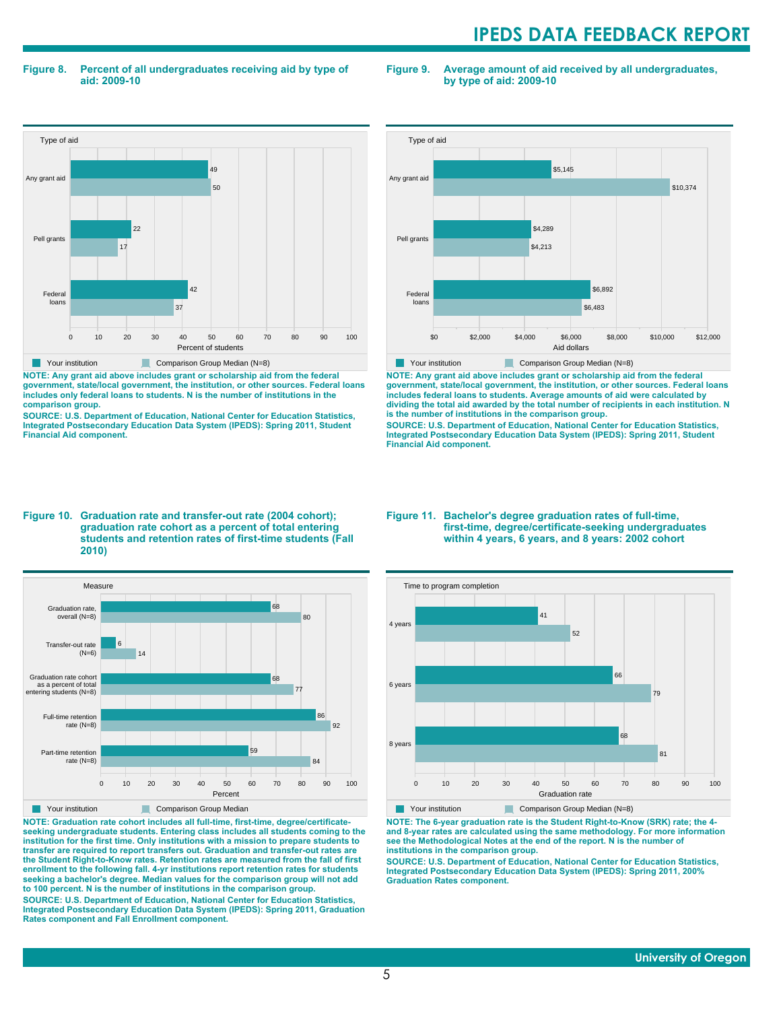#### **Figure 8. Percent of all undergraduates receiving aid by type of aid: 2009-10**

**Figure 9. Average amount of aid received by all undergraduates, by type of aid: 2009-10**



**NOTE: Any grant aid above includes grant or scholarship aid from the federal government, state/local government, the institution, or other sources. Federal loans includes only federal loans to students. N is the number of institutions in the**

**comparison group. SOURCE: U.S. Department of Education, National Center for Education Statistics, Integrated Postsecondary Education Data System (IPEDS): Spring 2011, Student Financial Aid component.**



**NOTE: Any grant aid above includes grant or scholarship aid from the federal government, state/local government, the institution, or other sources. Federal loans includes federal loans to students. Average amounts of aid were calculated by dividing the total aid awarded by the total number of recipients in each institution. N is the number of institutions in the comparison group.**

**SOURCE: U.S. Department of Education, National Center for Education Statistics, Integrated Postsecondary Education Data System (IPEDS): Spring 2011, Student Financial Aid component.**

#### **Figure 10. Graduation rate and transfer-out rate (2004 cohort); graduation rate cohort as a percent of total entering students and retention rates of first-time students (Fall 2010)**



**NOTE: Graduation rate cohort includes all full-time, first-time, degree/certificateseeking undergraduate students. Entering class includes all students coming to the institution for the first time. Only institutions with a mission to prepare students to transfer are required to report transfers out. Graduation and transfer-out rates are the Student Right-to-Know rates. Retention rates are measured from the fall of first enrollment to the following fall. 4-yr institutions report retention rates for students seeking a bachelor's degree. Median values for the comparison group will not add to 100 percent. N is the number of institutions in the comparison group.**

**SOURCE: U.S. Department of Education, National Center for Education Statistics, Integrated Postsecondary Education Data System (IPEDS): Spring 2011, Graduation Rates component and Fall Enrollment component.**

#### **Figure 11. Bachelor's degree graduation rates of full-time, first-time, degree/certificate-seeking undergraduates within 4 years, 6 years, and 8 years: 2002 cohort**



**NOTE: The 6-year graduation rate is the Student Right-to-Know (SRK) rate; the 4 and 8-year rates are calculated using the same methodology. For more information see the Methodological Notes at the end of the report. N is the number of institutions in the comparison group.**

**SOURCE: U.S. Department of Education, National Center for Education Statistics, Integrated Postsecondary Education Data System (IPEDS): Spring 2011, 200% Graduation Rates component.**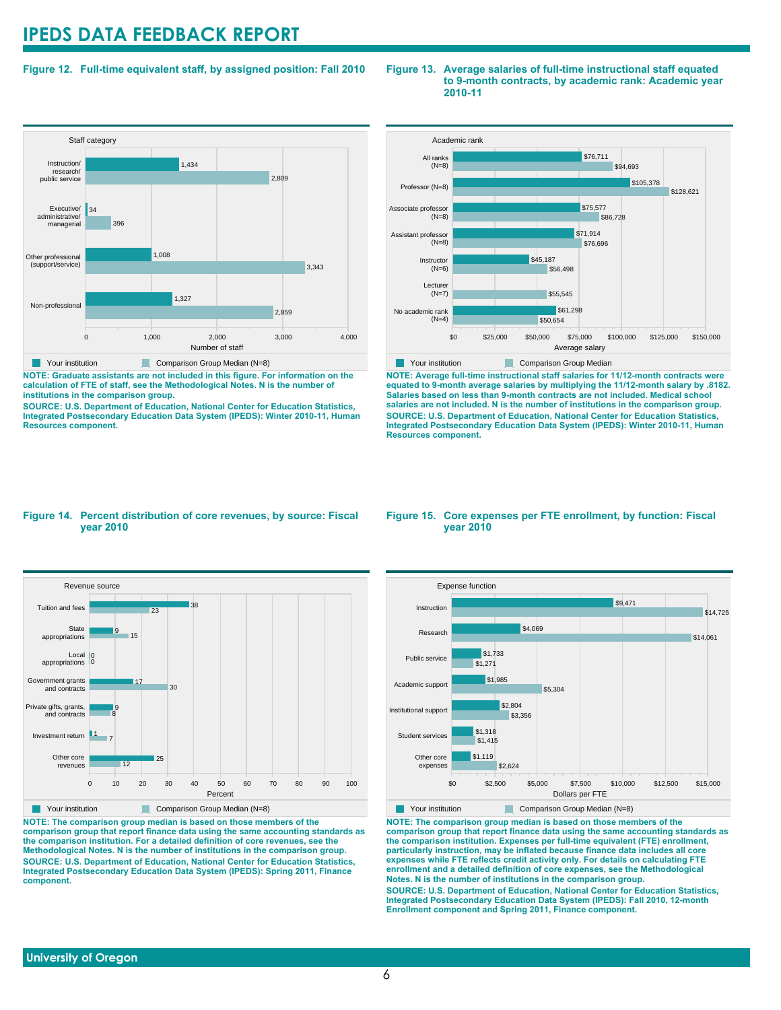#### **Figure 12. Full-time equivalent staff, by assigned position: Fall 2010**

#### **Staff category** 0 1,000 2,000 3,000 4,000 Number of staff Non-professional Other professional (support/service) Executive/ administrative/ managerial Instruction/ research/ public service 2,859 1,327 3,343 1,008 396 34 2,809 1,434 Your institution Comparison Group Median (N=8)

**NOTE: Graduate assistants are not included in this figure. For information on the calculation of FTE of staff, see the Methodological Notes. N is the number of institutions in the comparison group.**

**SOURCE: U.S. Department of Education, National Center for Education Statistics, Integrated Postsecondary Education Data System (IPEDS): Winter 2010-11, Human Resources component.**





**NOTE: Average full-time instructional staff salaries for 11/12-month contracts were equated to 9-month average salaries by multiplying the 11/12-month salary by .8182. Salaries based on less than 9-month contracts are not included. Medical school salaries are not included. N is the number of institutions in the comparison group. SOURCE: U.S. Department of Education, National Center for Education Statistics, Integrated Postsecondary Education Data System (IPEDS): Winter 2010-11, Human Resources component.**

#### **Figure 14. Percent distribution of core revenues, by source: Fiscal year 2010**



**NOTE: The comparison group median is based on those members of the comparison group that report finance data using the same accounting standards as the comparison institution. For a detailed definition of core revenues, see the Methodological Notes. N is the number of institutions in the comparison group. SOURCE: U.S. Department of Education, National Center for Education Statistics, Integrated Postsecondary Education Data System (IPEDS): Spring 2011, Finance component.**

#### **Figure 15. Core expenses per FTE enrollment, by function: Fiscal year 2010**



Your institution Comparison Group Median (N=8)

**NOTE: The comparison group median is based on those members of the comparison group that report finance data using the same accounting standards as the comparison institution. Expenses per full-time equivalent (FTE) enrollment, particularly instruction, may be inflated because finance data includes all core expenses while FTE reflects credit activity only. For details on calculating FTE enrollment and a detailed definition of core expenses, see the Methodological Notes. N is the number of institutions in the comparison group. SOURCE: U.S. Department of Education, National Center for Education Statistics, Integrated Postsecondary Education Data System (IPEDS): Fall 2010, 12-month Enrollment component and Spring 2011, Finance component.**

#### **University of Oregon**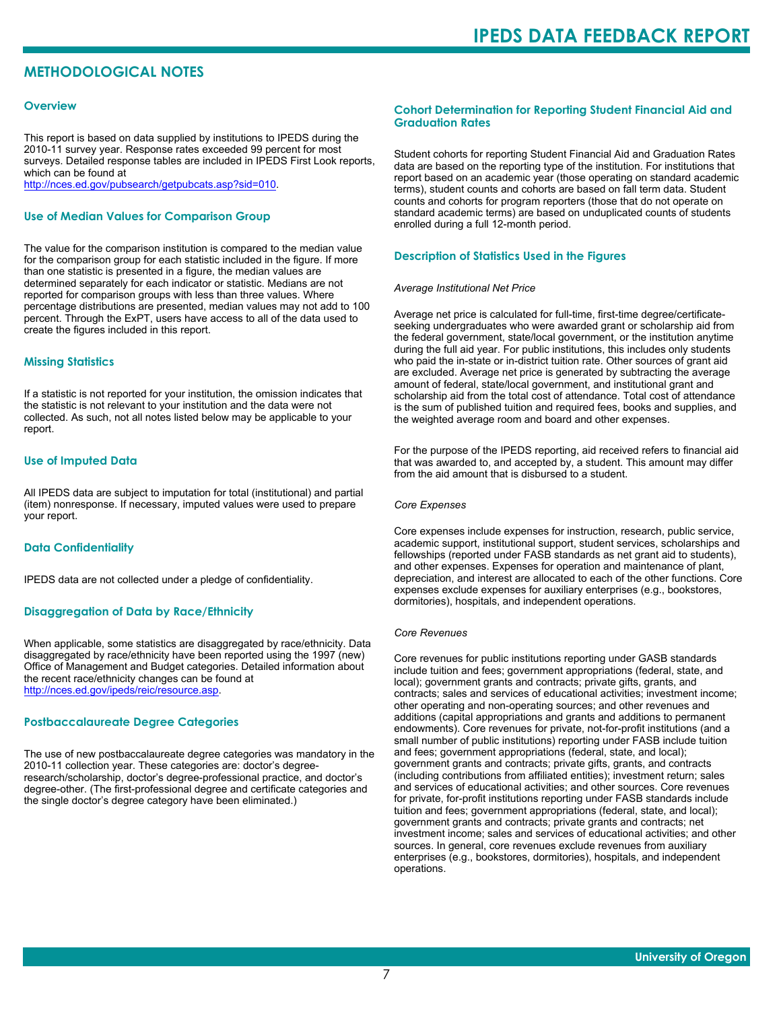### **METHODOLOGICAL NOTES**

#### **Overview**

This report is based on data supplied by institutions to IPEDS during the 2010-11 survey year. Response rates exceeded 99 percent for most surveys. Detailed response tables are included in IPEDS First Look reports, which can be found at [http://nces.ed.gov/pubsearch/getpubcats.asp?sid=010.](http://nces.ed.gov/pubsearch/getpubcats.asp?sid=010)

#### **Use of Median Values for Comparison Group**

The value for the comparison institution is compared to the median value for the comparison group for each statistic included in the figure. If more than one statistic is presented in a figure, the median values are determined separately for each indicator or statistic. Medians are not reported for comparison groups with less than three values. Where percentage distributions are presented, median values may not add to 100 percent. Through the ExPT, users have access to all of the data used to create the figures included in this report.

#### **Missing Statistics**

If a statistic is not reported for your institution, the omission indicates that the statistic is not relevant to your institution and the data were not collected. As such, not all notes listed below may be applicable to your report.

#### **Use of Imputed Data**

All IPEDS data are subject to imputation for total (institutional) and partial (item) nonresponse. If necessary, imputed values were used to prepare your report.

#### **Data Confidentiality**

IPEDS data are not collected under a pledge of confidentiality.

#### **Disaggregation of Data by Race/Ethnicity**

When applicable, some statistics are disaggregated by race/ethnicity. Data disaggregated by race/ethnicity have been reported using the 1997 (new) Office of Management and Budget categories. Detailed information about the recent race/ethnicity changes can be found at <http://nces.ed.gov/ipeds/reic/resource.asp>.

#### **Postbaccalaureate Degree Categories**

The use of new postbaccalaureate degree categories was mandatory in the 2010-11 collection year. These categories are: doctor's degreeresearch/scholarship, doctor's degree-professional practice, and doctor's degree-other. (The first-professional degree and certificate categories and the single doctor's degree category have been eliminated.)

#### **Cohort Determination for Reporting Student Financial Aid and Graduation Rates**

Student cohorts for reporting Student Financial Aid and Graduation Rates data are based on the reporting type of the institution. For institutions that report based on an academic year (those operating on standard academic terms), student counts and cohorts are based on fall term data. Student counts and cohorts for program reporters (those that do not operate on standard academic terms) are based on unduplicated counts of students enrolled during a full 12-month period.

#### **Description of Statistics Used in the Figures**

#### *Average Institutional Net Price*

Average net price is calculated for full-time, first-time degree/certificateseeking undergraduates who were awarded grant or scholarship aid from the federal government, state/local government, or the institution anytime during the full aid year. For public institutions, this includes only students who paid the in-state or in-district tuition rate. Other sources of grant aid are excluded. Average net price is generated by subtracting the average amount of federal, state/local government, and institutional grant and scholarship aid from the total cost of attendance. Total cost of attendance is the sum of published tuition and required fees, books and supplies, and the weighted average room and board and other expenses.

For the purpose of the IPEDS reporting, aid received refers to financial aid that was awarded to, and accepted by, a student. This amount may differ from the aid amount that is disbursed to a student.

#### *Core Expenses*

Core expenses include expenses for instruction, research, public service, academic support, institutional support, student services, scholarships and fellowships (reported under FASB standards as net grant aid to students), and other expenses. Expenses for operation and maintenance of plant, depreciation, and interest are allocated to each of the other functions. Core expenses exclude expenses for auxiliary enterprises (e.g., bookstores, dormitories), hospitals, and independent operations.

#### *Core Revenues*

Core revenues for public institutions reporting under GASB standards include tuition and fees; government appropriations (federal, state, and local); government grants and contracts; private gifts, grants, and contracts; sales and services of educational activities; investment income; other operating and non-operating sources; and other revenues and additions (capital appropriations and grants and additions to permanent endowments). Core revenues for private, not-for-profit institutions (and a small number of public institutions) reporting under FASB include tuition and fees; government appropriations (federal, state, and local); government grants and contracts; private gifts, grants, and contracts (including contributions from affiliated entities); investment return; sales and services of educational activities; and other sources. Core revenues for private, for-profit institutions reporting under FASB standards include tuition and fees; government appropriations (federal, state, and local); government grants and contracts; private grants and contracts; net investment income; sales and services of educational activities; and other sources. In general, core revenues exclude revenues from auxiliary enterprises (e.g., bookstores, dormitories), hospitals, and independent operations.